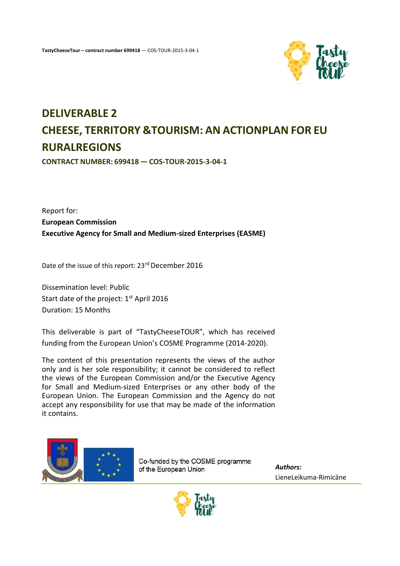

# **DELIVERABLE 2 CHEESE, TERRITORY &TOURISM: AN ACTIONPLAN FOR EU RURALREGIONS**

**CONTRACT NUMBER: 699418 — COS-TOUR-2015-3-04-1**

Report for: **European Commission Executive Agency for Small and Medium-sized Enterprises (EASME)**

Date of the issue of this report: 23rd December 2016

Dissemination level: Public Start date of the project: 1<sup>st</sup> April 2016 Duration: 15 Months

This deliverable is part of "TastyCheeseTOUR", which has received funding from the European Union's COSME Programme (2014-2020).

The content of this presentation represents the views of the author only and is her sole responsibility; it cannot be considered to reflect the views of the European Commission and/or the Executive Agency for Small and Medium-sized Enterprises or any other body of the European Union. The European Commission and the Agency do not accept any responsibility for use that may be made of the information it contains.



Co-funded by the COSME programme of the European Union

*Authors:* LieneLeikuma-Rimicāne

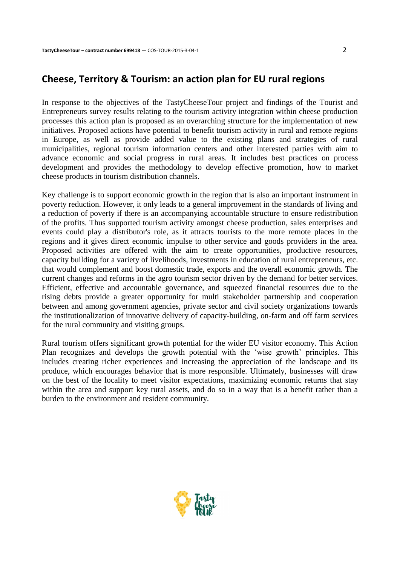## **Cheese, Territory & Tourism: an action plan for EU rural regions**

In response to the objectives of the TastyCheeseTour project and findings of the Tourist and Entrepreneurs survey results relating to the tourism activity integration within cheese production processes this action plan is proposed as an overarching structure for the implementation of new initiatives. Proposed actions have potential to benefit tourism activity in rural and remote regions in Europe, as well as provide added value to the existing plans and strategies of rural municipalities, regional tourism information centers and other interested parties with aim to advance economic and social progress in rural areas. It includes best practices on process development and provides the methodology to develop effective promotion, how to market cheese products in tourism distribution channels.

Key challenge is to support economic growth in the region that is also an important instrument in poverty reduction. However, it only leads to a general improvement in the standards of living and a reduction of poverty if there is an accompanying accountable structure to ensure redistribution of the profits. Thus supported tourism activity amongst cheese production, sales enterprises and events could play a distributor's role, as it attracts tourists to the more remote places in the regions and it gives direct economic impulse to other service and goods providers in the area. Proposed activities are offered with the aim to create opportunities, productive resources, capacity building for a variety of livelihoods, investments in education of rural entrepreneurs, etc. that would complement and boost domestic trade, exports and the overall economic growth. The current changes and reforms in the agro tourism sector driven by the demand for better services. Efficient, effective and accountable governance, and squeezed financial resources due to the rising debts provide a greater opportunity for multi stakeholder partnership and cooperation between and among government agencies, private sector and civil society organizations towards the institutionalization of innovative delivery of capacity-building, on-farm and off farm services for the rural community and visiting groups.

Rural tourism offers significant growth potential for the wider EU visitor economy. This Action Plan recognizes and develops the growth potential with the 'wise growth' principles. This includes creating richer experiences and increasing the appreciation of the landscape and its produce, which encourages behavior that is more responsible. Ultimately, businesses will draw on the best of the locality to meet visitor expectations, maximizing economic returns that stay within the area and support key rural assets, and do so in a way that is a benefit rather than a burden to the environment and resident community.

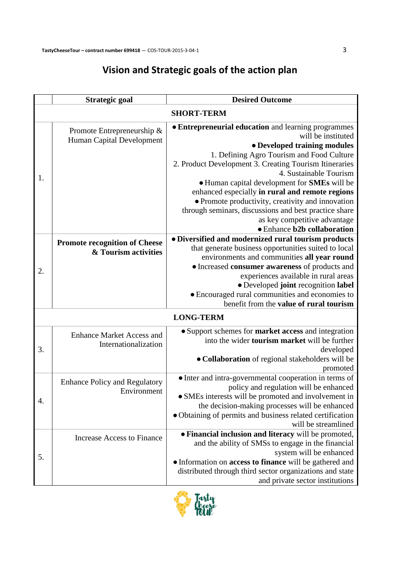## **Vision and Strategic goals of the action plan**

|                   | <b>Strategic goal</b>                                        | <b>Desired Outcome</b>                                                                                                                                                                                                                                                                                                                                                                                                                                                                      |  |  |
|-------------------|--------------------------------------------------------------|---------------------------------------------------------------------------------------------------------------------------------------------------------------------------------------------------------------------------------------------------------------------------------------------------------------------------------------------------------------------------------------------------------------------------------------------------------------------------------------------|--|--|
| <b>SHORT-TERM</b> |                                                              |                                                                                                                                                                                                                                                                                                                                                                                                                                                                                             |  |  |
| 1.                | Promote Entrepreneurship &<br>Human Capital Development      | • Entrepreneurial education and learning programmes<br>will be instituted<br>• Developed training modules<br>1. Defining Agro Tourism and Food Culture<br>2. Product Development 3. Creating Tourism Itineraries<br>4. Sustainable Tourism<br>• Human capital development for SMEs will be<br>enhanced especially in rural and remote regions<br>• Promote productivity, creativity and innovation<br>through seminars, discussions and best practice share<br>as key competitive advantage |  |  |
|                   |                                                              | • Enhance b2b collaboration<br>· Diversified and modernized rural tourism products                                                                                                                                                                                                                                                                                                                                                                                                          |  |  |
| 2.                | <b>Promote recognition of Cheese</b><br>& Tourism activities | that generate business opportunities suited to local<br>environments and communities all year round<br>· Increased consumer awareness of products and<br>experiences available in rural areas<br>· Developed joint recognition label<br>• Encouraged rural communities and economies to<br>benefit from the value of rural tourism                                                                                                                                                          |  |  |
| <b>LONG-TERM</b>  |                                                              |                                                                                                                                                                                                                                                                                                                                                                                                                                                                                             |  |  |
| 3.                | <b>Enhance Market Access and</b><br>Internationalization     | • Support schemes for market access and integration<br>into the wider <b>tourism market</b> will be further<br>developed<br>• Collaboration of regional stakeholders will be<br>promoted                                                                                                                                                                                                                                                                                                    |  |  |
| 4.                | <b>Enhance Policy and Regulatory</b><br>Environment          | · Inter and intra-governmental cooperation in terms of<br>policy and regulation will be enhanced<br>• SMEs interests will be promoted and involvement in<br>the decision-making processes will be enhanced<br>• Obtaining of permits and business related certification<br>will be streamlined                                                                                                                                                                                              |  |  |
| 5.                | <b>Increase Access to Finance</b>                            | · Financial inclusion and literacy will be promoted,<br>and the ability of SMSs to engage in the financial<br>system will be enhanced<br>• Information on access to finance will be gathered and<br>distributed through third sector organizations and state<br>and private sector institutions                                                                                                                                                                                             |  |  |

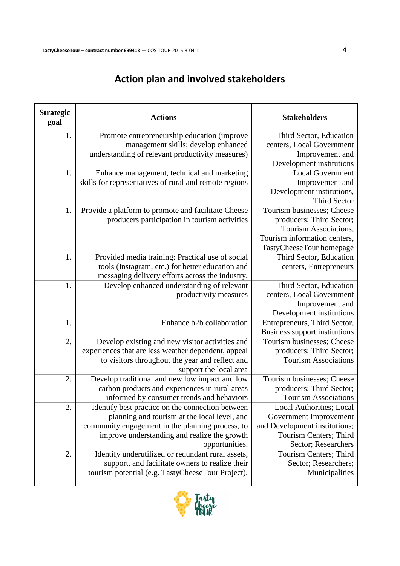## **Action plan and involved stakeholders**

| <b>Strategic</b><br>goal | <b>Actions</b>                                         | <b>Stakeholders</b>                                           |
|--------------------------|--------------------------------------------------------|---------------------------------------------------------------|
| 1.                       | Promote entrepreneurship education (improve            | Third Sector, Education                                       |
|                          | management skills; develop enhanced                    | centers, Local Government                                     |
|                          | understanding of relevant productivity measures)       | Improvement and                                               |
|                          |                                                        | Development institutions                                      |
| 1.                       | Enhance management, technical and marketing            | <b>Local Government</b>                                       |
|                          | skills for representatives of rural and remote regions | Improvement and                                               |
|                          |                                                        | Development institutions,                                     |
|                          |                                                        | <b>Third Sector</b>                                           |
| 1.                       | Provide a platform to promote and facilitate Cheese    | Tourism businesses; Cheese                                    |
|                          | producers participation in tourism activities          | producers; Third Sector;                                      |
|                          |                                                        | Tourism Associations,                                         |
|                          |                                                        | Tourism information centers,                                  |
|                          |                                                        | TastyCheeseTour homepage                                      |
| 1.                       | Provided media training: Practical use of social       | Third Sector, Education                                       |
|                          | tools (Instagram, etc.) for better education and       | centers, Entrepreneurs                                        |
|                          | messaging delivery efforts across the industry.        |                                                               |
| 1.                       | Develop enhanced understanding of relevant             | Third Sector, Education                                       |
|                          | productivity measures                                  | centers, Local Government                                     |
|                          |                                                        | Improvement and                                               |
| 1.                       | Enhance b2b collaboration                              | Development institutions                                      |
|                          |                                                        | Entrepreneurs, Third Sector,<br>Business support institutions |
| 2.                       | Develop existing and new visitor activities and        | Tourism businesses; Cheese                                    |
|                          | experiences that are less weather dependent, appeal    | producers; Third Sector;                                      |
|                          | to visitors throughout the year and reflect and        | <b>Tourism Associations</b>                                   |
|                          | support the local area                                 |                                                               |
| 2.                       | Develop traditional and new low impact and low         | Tourism businesses; Cheese                                    |
|                          | carbon products and experiences in rural areas         | producers; Third Sector;                                      |
|                          | informed by consumer trends and behaviors              | <b>Tourism Associations</b>                                   |
| 2.                       | Identify best practice on the connection between       | Local Authorities; Local                                      |
|                          | planning and tourism at the local level, and           | Government Improvement                                        |
|                          | community engagement in the planning process, to       | and Development institutions;                                 |
|                          | improve understanding and realize the growth           | Tourism Centers; Third                                        |
|                          | opportunities.                                         | Sector; Researchers                                           |
| 2.                       | Identify underutilized or redundant rural assets,      | Tourism Centers; Third                                        |
|                          | support, and facilitate owners to realize their        | Sector; Researchers;                                          |
|                          | tourism potential (e.g. TastyCheeseTour Project).      | Municipalities                                                |
|                          |                                                        |                                                               |

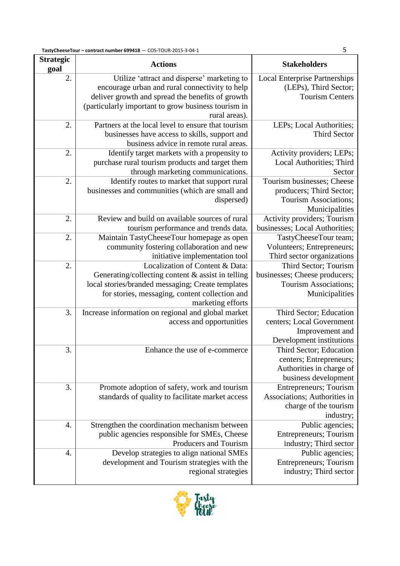| <b>Strategic</b><br>goal | <b>Actions</b>                                                                                                                                                                                                            | <b>Stakeholders</b>                                                                                    |
|--------------------------|---------------------------------------------------------------------------------------------------------------------------------------------------------------------------------------------------------------------------|--------------------------------------------------------------------------------------------------------|
| 2.                       | Utilize 'attract and disperse' marketing to<br>encourage urban and rural connectivity to help<br>deliver growth and spread the benefits of growth<br>(particularly important to grow business tourism in<br>rural areas). | <b>Local Enterprise Partnerships</b><br>(LEPs), Third Sector;<br><b>Tourism Centers</b>                |
| 2.                       | Partners at the local level to ensure that tourism<br>businesses have access to skills, support and<br>business advice in remote rural areas.                                                                             | LEPs; Local Authorities;<br><b>Third Sector</b>                                                        |
| 2.                       | Identify target markets with a propensity to<br>purchase rural tourism products and target them<br>through marketing communications.                                                                                      | Activity providers; LEPs;<br>Local Authorities; Third<br>Sector                                        |
| 2.                       | Identify routes to market that support rural<br>businesses and communities (which are small and<br>dispersed)                                                                                                             | Tourism businesses; Cheese<br>producers; Third Sector;<br>Tourism Associations;<br>Municipalities      |
| 2.                       | Review and build on available sources of rural<br>tourism performance and trends data.                                                                                                                                    | Activity providers; Tourism<br>businesses; Local Authorities;                                          |
| 2.                       | Maintain TastyCheeseTour homepage as open<br>community fostering collaboration and new<br>initiative implementation tool                                                                                                  | TastyCheeseTour team;<br>Volunteers; Entrepreneurs;<br>Third sector organizations                      |
| 2.                       | Localization of Content & Data:<br>Generating/collecting content & assist in telling<br>local stories/branded messaging; Create templates<br>for stories, messaging, content collection and<br>marketing efforts          | Third Sector; Tourism<br>businesses; Cheese producers;<br>Tourism Associations;<br>Municipalities      |
| 3.                       | Increase information on regional and global market<br>access and opportunities                                                                                                                                            | Third Sector; Education<br>centers; Local Government<br>Improvement and<br>Development institutions    |
| 3.                       | Enhance the use of e-commerce                                                                                                                                                                                             | Third Sector; Education<br>centers; Entrepreneurs;<br>Authorities in charge of<br>business development |
| 3.                       | Promote adoption of safety, work and tourism<br>standards of quality to facilitate market access                                                                                                                          | Entrepreneurs; Tourism<br>Associations; Authorities in<br>charge of the tourism<br>industry;           |
| 4.                       | Strengthen the coordination mechanism between<br>public agencies responsible for SMEs, Cheese<br>Producers and Tourism                                                                                                    | Public agencies;<br>Entrepreneurs; Tourism<br>industry; Third sector                                   |
| 4.                       | Develop strategies to align national SMEs<br>development and Tourism strategies with the<br>regional strategies                                                                                                           | Public agencies;<br>Entrepreneurs; Tourism<br>industry; Third sector                                   |

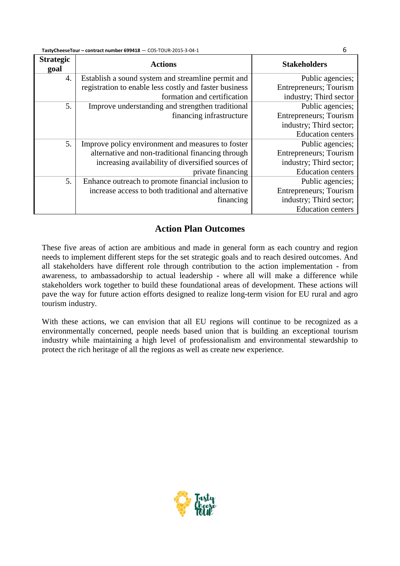| <b>Strategic</b><br>goal | <b>Actions</b>                                         | <b>Stakeholders</b>            |
|--------------------------|--------------------------------------------------------|--------------------------------|
| 4.                       | Establish a sound system and streamline permit and     | Public agencies;               |
|                          | registration to enable less costly and faster business | <b>Entrepreneurs</b> ; Tourism |
|                          | formation and certification                            | industry; Third sector         |
| 5.                       | Improve understanding and strengthen traditional       | Public agencies;               |
|                          | financing infrastructure                               | <b>Entrepreneurs</b> ; Tourism |
|                          |                                                        | industry; Third sector;        |
|                          |                                                        | <b>Education centers</b>       |
| 5.                       | Improve policy environment and measures to foster      | Public agencies;               |
|                          | alternative and non-traditional financing through      | <b>Entrepreneurs</b> ; Tourism |
|                          | increasing availability of diversified sources of      | industry; Third sector;        |
|                          | private financing                                      | <b>Education centers</b>       |
| 5.                       | Enhance outreach to promote financial inclusion to     | Public agencies;               |
|                          | increase access to both traditional and alternative    | <b>Entrepreneurs</b> ; Tourism |
|                          | financing                                              | industry; Third sector;        |
|                          |                                                        | <b>Education centers</b>       |

## **Action Plan Outcomes**

These five areas of action are ambitious and made in general form as each country and region needs to implement different steps for the set strategic goals and to reach desired outcomes. And all stakeholders have different role through contribution to the action implementation - from awareness, to ambassadorship to actual leadership - where all will make a difference while stakeholders work together to build these foundational areas of development. These actions will pave the way for future action efforts designed to realize long-term vision for EU rural and agro tourism industry.

With these actions, we can envision that all EU regions will continue to be recognized as a environmentally concerned, people needs based union that is building an exceptional tourism industry while maintaining a high level of professionalism and environmental stewardship to protect the rich heritage of all the regions as well as create new experience.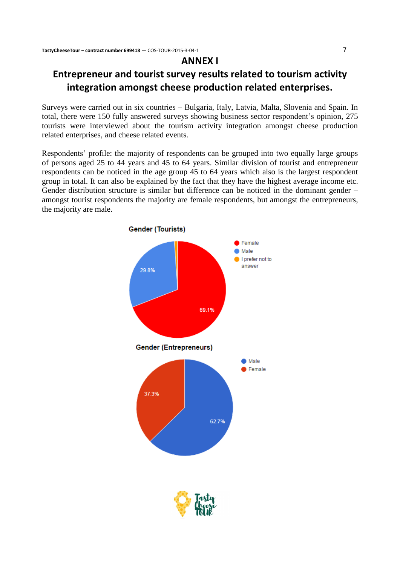## **ANNEX I**

## **Entrepreneur and tourist survey results related to tourism activity integration amongst cheese production related enterprises.**

Surveys were carried out in six countries – Bulgaria, Italy, Latvia, Malta, Slovenia and Spain. In total, there were 150 fully answered surveys showing business sector respondent's opinion, 275 tourists were interviewed about the tourism activity integration amongst cheese production related enterprises, and cheese related events.

Respondents' profile: the majority of respondents can be grouped into two equally large groups of persons aged 25 to 44 years and 45 to 64 years. Similar division of tourist and entrepreneur respondents can be noticed in the age group 45 to 64 years which also is the largest respondent group in total. It can also be explained by the fact that they have the highest average income etc. Gender distribution structure is similar but difference can be noticed in the dominant gender – amongst tourist respondents the majority are female respondents, but amongst the entrepreneurs, the majority are male.



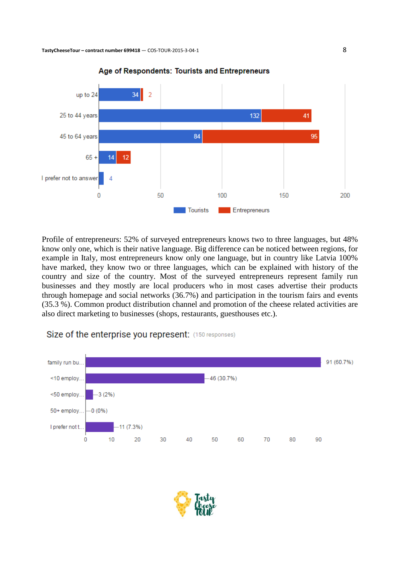

#### Age of Respondents: Tourists and Entrepreneurs

Profile of entrepreneurs: 52% of surveyed entrepreneurs knows two to three languages, but 48% know only one, which is their native language. Big difference can be noticed between regions, for example in Italy, most entrepreneurs know only one language, but in country like Latvia 100% have marked, they know two or three languages, which can be explained with history of the country and size of the country. Most of the surveyed entrepreneurs represent family run businesses and they mostly are local producers who in most cases advertise their products through homepage and social networks (36.7%) and participation in the tourism fairs and events (35.3 %). Common product distribution channel and promotion of the cheese related activities are also direct marketing to businesses (shops, restaurants, guesthouses etc.).

### Size of the enterprise you represent: (150 responses)



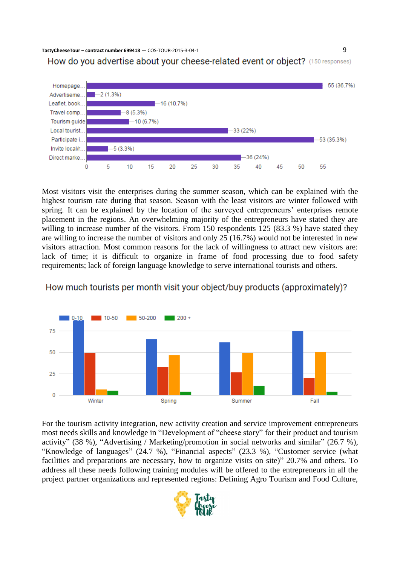



Most visitors visit the enterprises during the summer season, which can be explained with the highest tourism rate during that season. Season with the least visitors are winter followed with spring. It can be explained by the location of the surveyed entrepreneurs' enterprises remote placement in the regions. An overwhelming majority of the entrepreneurs have stated they are willing to increase number of the visitors. From 150 respondents 125 (83.3 %) have stated they are willing to increase the number of visitors and only 25 (16.7%) would not be interested in new visitors attraction. Most common reasons for the lack of willingness to attract new visitors are: lack of time; it is difficult to organize in frame of food processing due to food safety requirements; lack of foreign language knowledge to serve international tourists and others.





For the tourism activity integration, new activity creation and service improvement entrepreneurs most needs skills and knowledge in "Development of "cheese story" for their product and tourism activity" (38 %), "Advertising / Marketing/promotion in social networks and similar" (26.7 %), "Knowledge of languages" (24.7 %), "Financial aspects" (23.3 %), "Customer service (what facilities and preparations are necessary, how to organize visits on site)" 20.7% and others. To address all these needs following training modules will be offered to the entrepreneurs in all the project partner organizations and represented regions: Defining Agro Tourism and Food Culture,

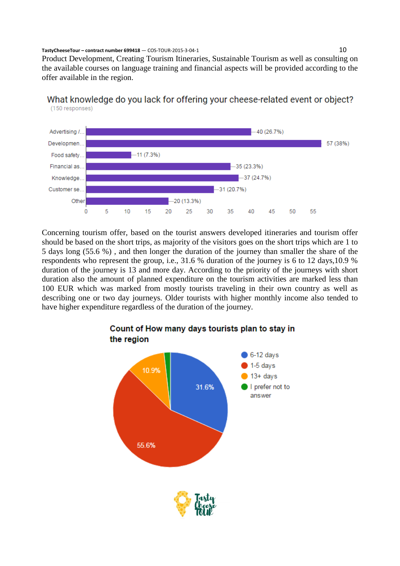Other

 $\overline{0}$ 

5

 $10$ 

15

Product Development, Creating Tourism Itineraries, Sustainable Tourism as well as consulting on the available courses on language training and financial aspects will be provided according to the offer available in the region.



 $-20(13.3%)$ 

25

20

## What knowledge do you lack for offering your cheese-related event or object? (150 responses)

Concerning tourism offer, based on the tourist answers developed itineraries and tourism offer should be based on the short trips, as majority of the visitors goes on the short trips which are 1 to 5 days long (55.6 %) , and then longer the duration of the journey than smaller the share of the respondents who represent the group, i.e., 31.6 % duration of the journey is 6 to 12 days,10.9 % duration of the journey is 13 and more day. According to the priority of the journeys with short duration also the amount of planned expenditure on the tourism activities are marked less than 100 EUR which was marked from mostly tourists traveling in their own country as well as describing one or two day journeys. Older tourists with higher monthly income also tended to have higher expenditure regardless of the duration of the journey.

30

35

 $40$ 

45

50

55



## Count of How many days tourists plan to stay in the region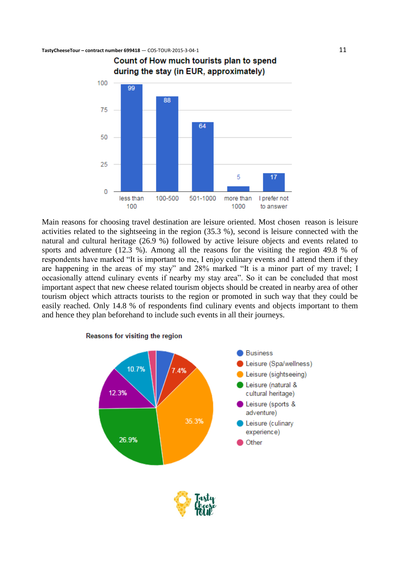

Main reasons for choosing travel destination are leisure oriented. Most chosen reason is leisure activities related to the sightseeing in the region (35.3 %), second is leisure connected with the natural and cultural heritage (26.9 %) followed by active leisure objects and events related to sports and adventure (12.3 %). Among all the reasons for the visiting the region 49.8 % of respondents have marked "It is important to me, I enjoy culinary events and I attend them if they are happening in the areas of my stay" and 28% marked "It is a minor part of my travel; I occasionally attend culinary events if nearby my stay area". So it can be concluded that most important aspect that new cheese related tourism objects should be created in nearby area of other tourism object which attracts tourists to the region or promoted in such way that they could be easily reached. Only 14.8 % of respondents find culinary events and objects important to them and hence they plan beforehand to include such events in all their journeys.



#### Reasons for visiting the region

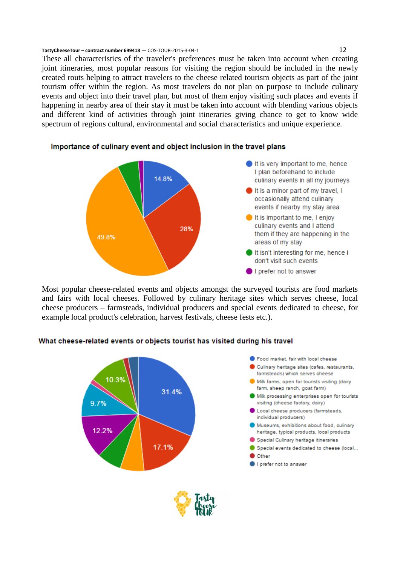These all characteristics of the traveler's preferences must be taken into account when creating joint itineraries, most popular reasons for visiting the region should be included in the newly created routs helping to attract travelers to the cheese related tourism objects as part of the joint tourism offer within the region. As most travelers do not plan on purpose to include culinary events and object into their travel plan, but most of them enjoy visiting such places and events if happening in nearby area of their stay it must be taken into account with blending various objects and different kind of activities through joint itineraries giving chance to get to know wide spectrum of regions cultural, environmental and social characteristics and unique experience.



### Importance of culinary event and object inclusion in the travel plans

Most popular cheese-related events and objects amongst the surveyed tourists are food markets and fairs with local cheeses. Followed by culinary heritage sites which serves cheese, local cheese producers – farmsteads, individual producers and special events dedicated to cheese, for example local product's celebration, harvest festivals, cheese fests etc.).



#### What cheese-related events or objects tourist has visited during his travel

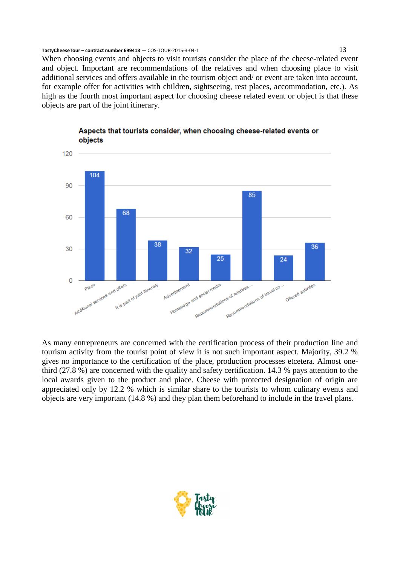When choosing events and objects to visit tourists consider the place of the cheese-related event and object. Important are recommendations of the relatives and when choosing place to visit additional services and offers available in the tourism object and/ or event are taken into account, for example offer for activities with children, sightseeing, rest places, accommodation, etc.). As high as the fourth most important aspect for choosing cheese related event or object is that these objects are part of the joint itinerary.



Aspects that tourists consider, when choosing cheese-related events or objects

As many entrepreneurs are concerned with the certification process of their production line and tourism activity from the tourist point of view it is not such important aspect. Majority, 39.2 % gives no importance to the certification of the place, production processes etcetera. Almost onethird (27.8 %) are concerned with the quality and safety certification. 14.3 % pays attention to the local awards given to the product and place. Cheese with protected designation of origin are appreciated only by 12.2 % which is similar share to the tourists to whom culinary events and objects are very important (14.8 %) and they plan them beforehand to include in the travel plans.

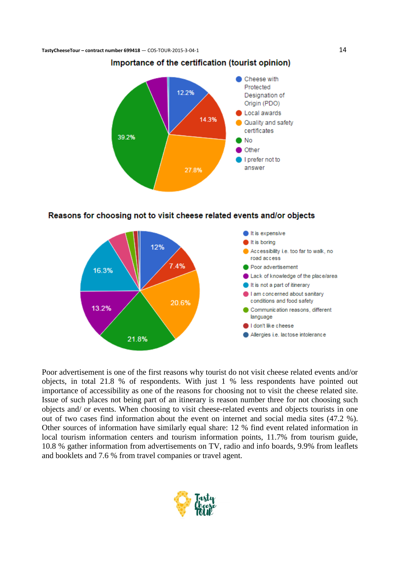

### Importance of the certification (tourist opinion)





Poor advertisement is one of the first reasons why tourist do not visit cheese related events and/or objects, in total 21.8 % of respondents. With just 1 % less respondents have pointed out importance of accessibility as one of the reasons for choosing not to visit the cheese related site. Issue of such places not being part of an itinerary is reason number three for not choosing such objects and/ or events. When choosing to visit cheese-related events and objects tourists in one out of two cases find information about the event on internet and social media sites (47.2 %). Other sources of information have similarly equal share: 12 % find event related information in local tourism information centers and tourism information points, 11.7% from tourism guide, 10.8 % gather information from advertisements on TV, radio and info boards, 9.9% from leaflets and booklets and 7.6 % from travel companies or travel agent.